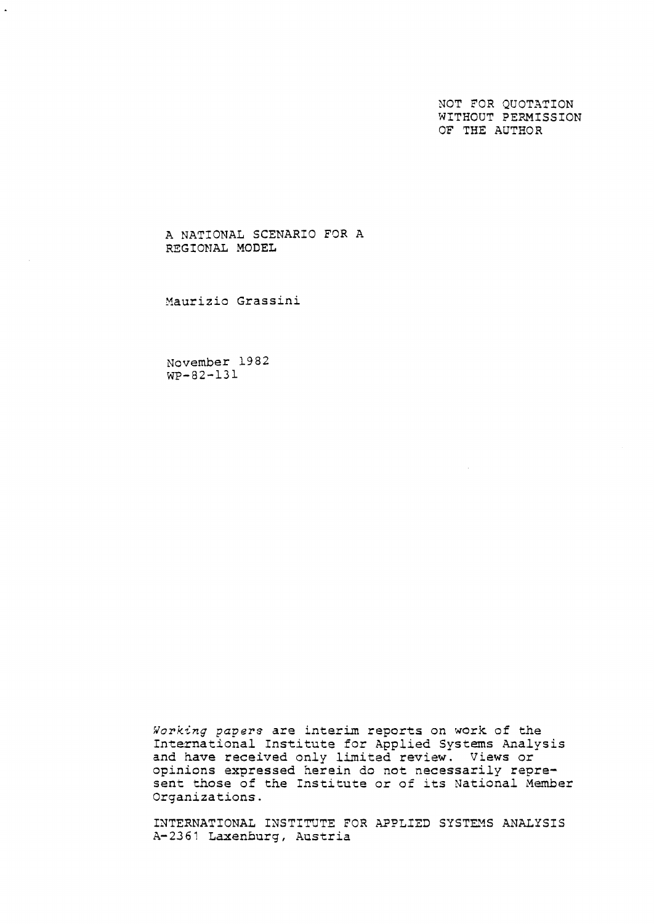NOT FOR QUOTATION WITHOUT PERMISSION OF **THE** AUTHOR

A NATIONAL SCENARIO **FOR** A REGIONAL MODEL

Xaurizio Grassini

November 19 82 WP-82-131

**Working** *pavers* are interim reports on work of the International Institute for Applied Systems Analysis and have received only limitad review. Views or opinions expressed herein do not necessarily represent those of the Institute or of its National Nember Organizations.

INTERNATIONAL INSTITUTE FOR APPLIED SYSTEMS ANALYSIS A-23 *6* 1 Laxenburg, Austria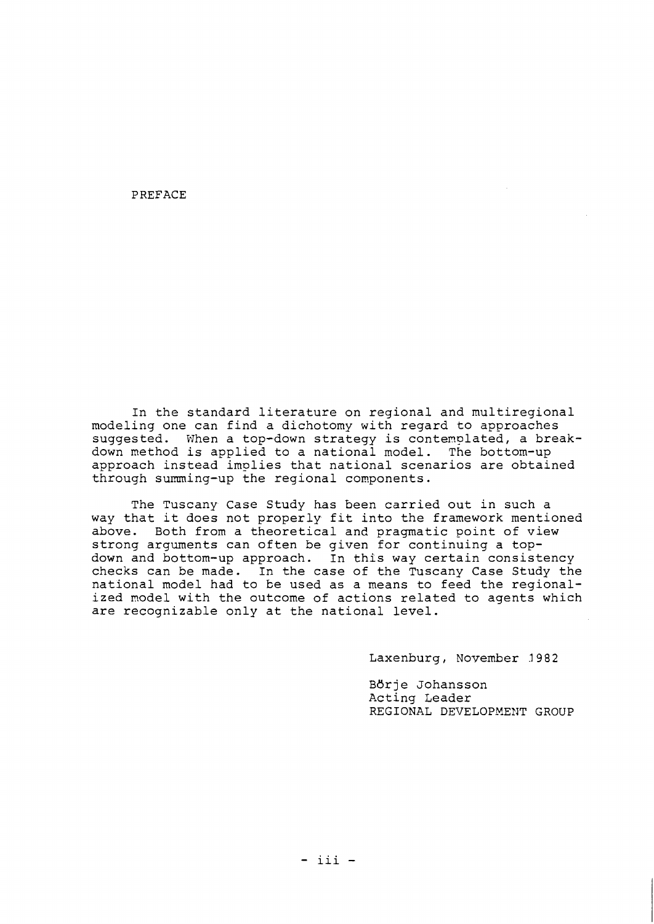PREFACE

In the standard literature on regional and multiregional modeling one can find a dichotomy with regard to approaches suggested. When a top-down strategy is contemplated, a breakdown method is applied to a national model. The bottom-up approach instead imolies that national scenarios are obtained through summing-up the regional conponents.

The Tuscany Case Study has been carried out in such a way that it does not properly fit into the framework mentioned above. Both from a theoretical and pragmatic point of view strong arguments can often be given for continuing a topdown and bottom-up approach. In this way certain consistency checks can be made. In the case of the Tuscany Case Study the national model had to be used as a means to feed the regionalized model with the outcome of actions related to agents which are recognizable only at the national level.

Laxenburg, November 3982

Bdrje Johansson Acting Leader REGIONAL DEVELOPNEMT GROUP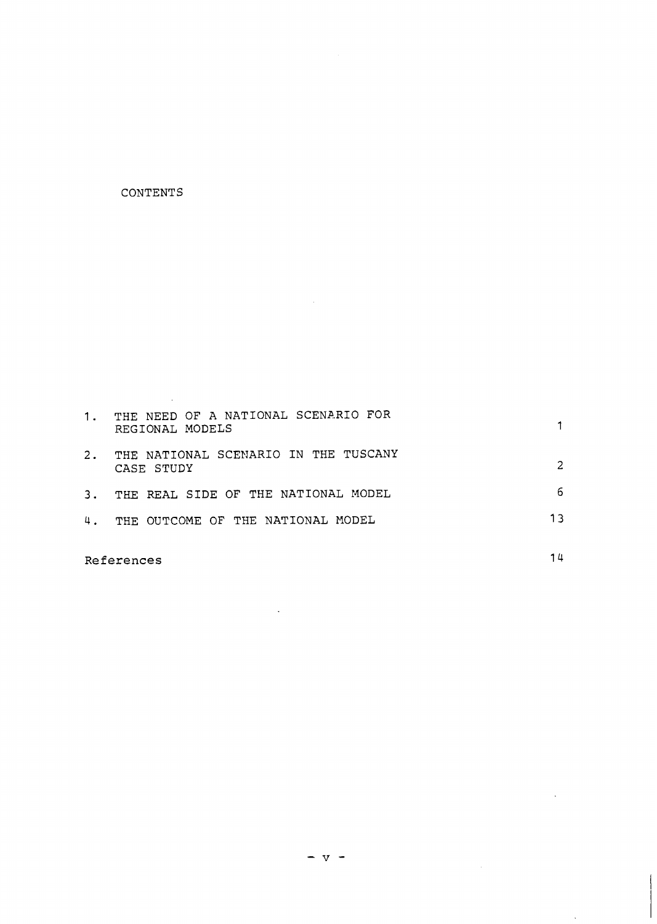## **CONTENTS**

 $\sim 10^{-11}$ 

| 1. | THE NEED OF A NATIONAL SCENARIO FOR<br>REGIONAL MODELS |   |
|----|--------------------------------------------------------|---|
| 2. | THE NATIONAL SCENARIO IN THE TUSCANY<br>CASE STUDY     | 2 |
| 3. | THE REAL SIDE OF THE NATIONAL MODEL                    | 6 |
| 4. | THE OUTCOME OF THE NATIONAL MODEL                      |   |

 $\sim$   $\sim$ 

**References** 

 $14$ 

 $\ddot{\phantom{1}}$ 

 $\sim 10^{-1}$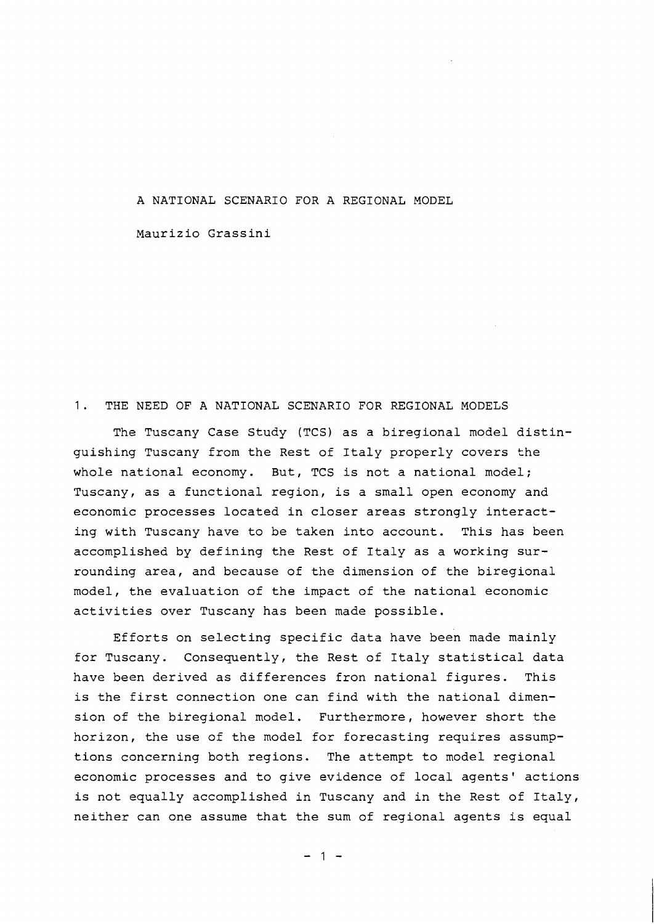A NATIONAL SCENARIO FOR A REGIONAL MODEL

Maurizio Grassini

## 1. THE NEED OF A NATIONAL SCENARIO FOR REGIONAL MODELS

The Tuscany Case Study (TCS) as a biregional model distinguishing Tuscany from the Rest of Italy properly covers the whole national economy. But, TCS is not a national model; Tuscany, as a functional region, is a small open economy and economic processes located in closer areas strongly interacting with Tuscany have to be taken into account. This has been accomplished by defining the Rest of Italy as a working surrounding area, and because of the dimension of the biregional model, the evaluation of the impact of the national economic activities over Tuscany has been made possible.

Efforts on selecting specific data have been made mainly for Tuscany. Consequently, the Rest of Italy statistical data have been derived as differences fron national figures. This is the first connection one can find with the national dimension of the biregional model. Furthermore, however short the horizon, the use of the model for forecasting requires assumptions concerning both regions. The attempt to model regional economic processes and to give evidence of local agents' actions is not equally accomplished in Tuscany and in the Rest of Italy, neither can one assume that the sum of regional agents is equal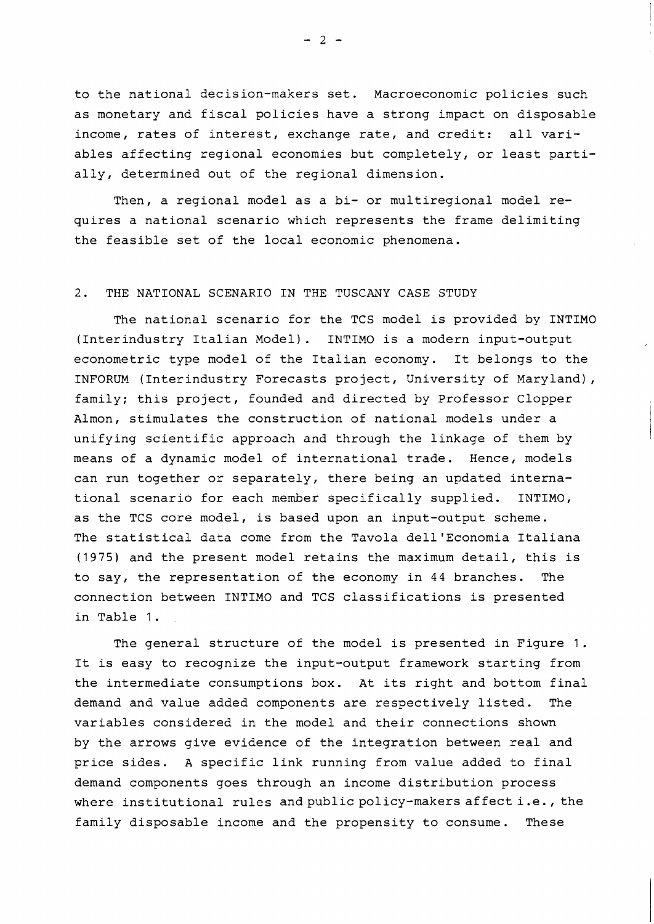to the national decision-makers set. Macroeconomic policies such as monetary and fiscal policies have a strong impact on disposable income, rates of interest, exchange rate, and credit: all variables affecting regional economies but completely, or least partially, determined out of the regional dimension.

Then, a regional model as a bi- or multiregional model requires a national scenario which represents the frame delimiting the feasible set of the local economic phenomena.

## 2. THE NATIONAL SCENARIO IN THE TUSCANY CASE STUDY

The national scenario for the TCS model is provided by INTIMO (Interindustry Italian Model). INTIMO is a modern input-output econometric type model of the Italian economy. It belongs to the INFORUM (Interindustry Forecasts project, University of Maryland), family; this project, founded and directed by Professor Clopper Almon, stimulates the construction of national models under a unifying scientific approach and through the linkage of them by means of a dynamic model of international trade. Hence, models can run together or separately, there being an updated international scenario for each member specifically supplied. INTIMO, as the TCS core model, is based upon an input-output scheme. The statistical data come from the Tavola dell'Economia Italiana (1975) and the present model retains the maximum detail, this is to say, the representation of the economy in 44 branches. The connection between INTIMO and TCS classifications is presented in Table 1.

The general structure of the model is presented in Figure 1. It is easy to recognize the input-output framework starting from the intermediate consumptions box. At its right and bottom final demand and value added components are respectively listed. The variables considered in the model and their connections shown by the arrows give evidence of the integration between real and price sides. A specific link running from value added to final demand components goes through an income distribution process where institutional rules and public policy-makers affecti.e., the family disposable income and the propensity to consume. These

 $-2-$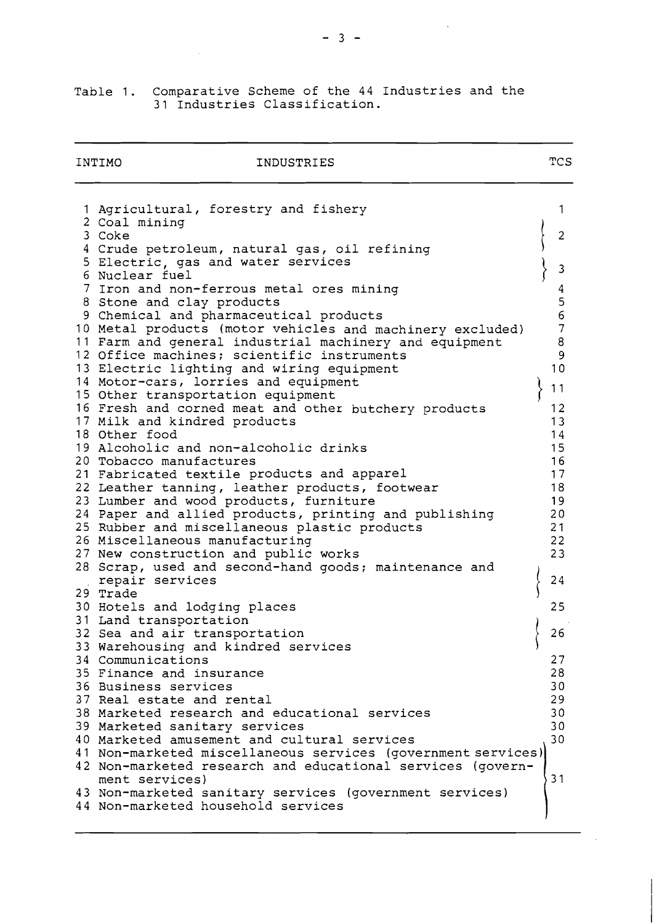|                               | Table 1. Comparative Scheme of the 44 Industries and the |  |  |  |
|-------------------------------|----------------------------------------------------------|--|--|--|
| 31 Industries Classification. |                                                          |  |  |  |

 $\sim$ 

| INTIMO<br>INDUSTRIES                                         | TCS              |
|--------------------------------------------------------------|------------------|
| 1 Agricultural, forestry and fishery                         | 1                |
| 2 Coal mining                                                |                  |
| 3 Coke                                                       | $\overline{c}$   |
| 4 Crude petroleum, natural gas, oil refining                 |                  |
| 5 Electric, gas and water services                           |                  |
| 6 Nuclear fuel                                               | 3                |
| 7 Iron and non-ferrous metal ores mining                     | $\boldsymbol{4}$ |
| 8 Stone and clay products                                    | 5                |
| 9 Chemical and pharmaceutical products                       | 6                |
| 10 Metal products (motor vehicles and machinery excluded)    | $\overline{7}$   |
| 11 Farm and general industrial machinery and equipment       | 8                |
| 12 Office machines; scientific instruments                   | 9                |
| 13 Electric lighting and wiring equipment                    | 10               |
| 14 Motor-cars, lorries and equipment                         |                  |
| 15 Other transportation equipment                            | 11               |
| 16 Fresh and corned meat and other butchery products         | 12               |
| 17 Milk and kindred products                                 | 13               |
| 18 Other food                                                | 14               |
| 19 Alcoholic and non-alcoholic drinks                        | 15               |
| 20 Tobacco manufactures                                      | 16               |
| 21 Fabricated textile products and apparel                   | 17               |
| 22 Leather tanning, leather products, footwear               | 18               |
| 23 Lumber and wood products, furniture                       | 19               |
| 24 Paper and allied products, printing and publishing        | 20               |
| 25 Rubber and miscellaneous plastic products                 | 21               |
| 26 Miscellaneous manufacturing                               | 22               |
| 27 New construction and public works                         | 23               |
| 28 Scrap, used and second-hand goods; maintenance and        |                  |
| repair services                                              | 24               |
| 29 Trade                                                     |                  |
| 30 Hotels and lodging places                                 | 25               |
| 31 Land transportation                                       |                  |
| 32 Sea and air transportation                                | 26               |
| 33 Warehousing and kindred services                          |                  |
| 34 Communications                                            | 27               |
| 35 Finance and insurance                                     | 28               |
| 36 Business services                                         | 30               |
| 37 Real estate and rental                                    | 29               |
| 38 Marketed research and educational services                | 30               |
| 39 Marketed sanitary services                                | 30               |
| 40 Marketed amusement and cultural services                  | 30               |
| 41 Non-marketed miscellaneous services (government services) |                  |
| 42 Non-marketed research and educational services (govern-   |                  |
| ment services)                                               | 31               |
| 43 Non-marketed sanitary services (government services)      |                  |
| 44 Non-marketed household services                           |                  |
|                                                              |                  |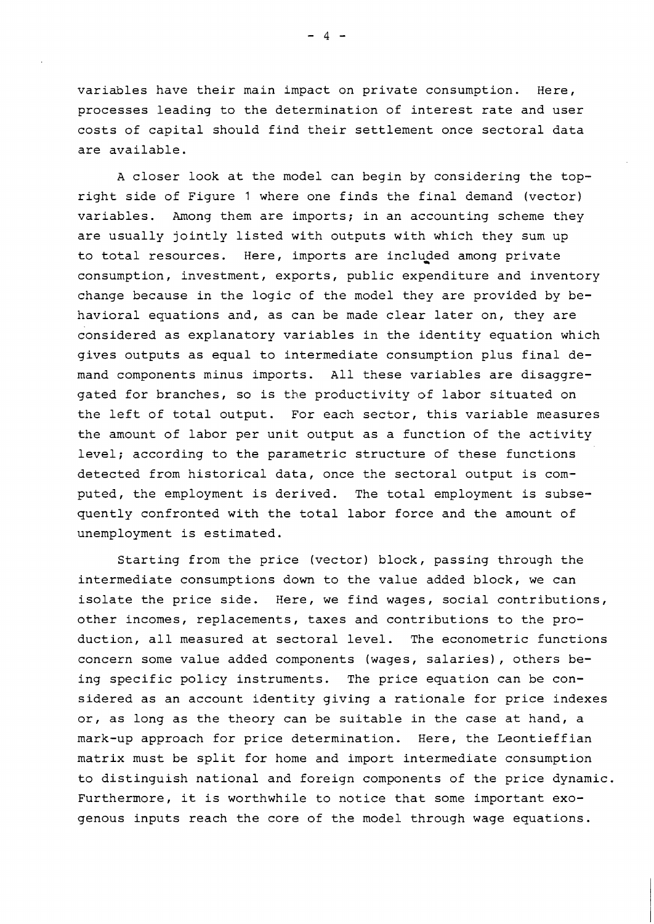variables have their main impact on private consumption. Here, processes leading to the determination of interest rate and user costs of capital should find their settlement once sectoral data are available.

A closer look at the model can begin by considering the topright side of Figure 1 where one finds the final demand (vector) variables. Among them are imports; in an accounting scheme they are usually jointly listed with outputs with which they sum up to total resources. Here, imports are included among private consumption, investment, exports, public expenditure and inventory change because in the logic of the model they are provided by behavioral equations and, as can be made clear later on, they are considered as explanatory variables in the identity equation which gives outputs as equal to intermediate consumption plus final demand components minus imports. All these variables are disaggregated for branches, so is the productivity of labor situated on the left of total output. For each sector, this variable measures the amount of labor per unit output as a function of the activity level; according to the parametric structure of these functions detected from historical data, once the sectoral output is computed, the employment is derived. The total employment is subsequently confronted with the total labor force and the amount of unemployment is estimated.

Starting from the price (vector) block, passing through the intermediate consumptions down to the value added block, we can isolate the price side. Here, we find wages, social contributions, other incomes, replacements, taxes and contributions to the production, all measured at sectoral level. The econometric functions concern some value added components (wages, salaries), others being specific policy instruments. The price equation can be considered as an account identity giving a rationale for price indexes or, as long as the theory can be suitable in the case at hand, a mark-up approach for price determination. Here, the Leontieffian matrix must be split for home and import intermediate consumption to distinguish national and foreign components of the price dynamic. Furthermore, it is worthwhile to notice that some important exogenous inputs reach the core of the model through wage equations.

 $-4-$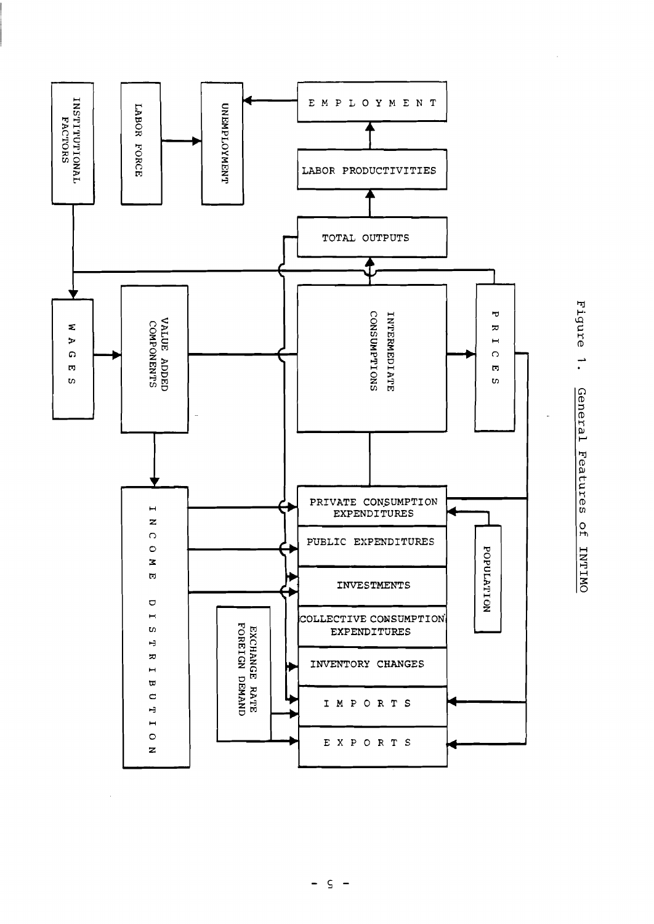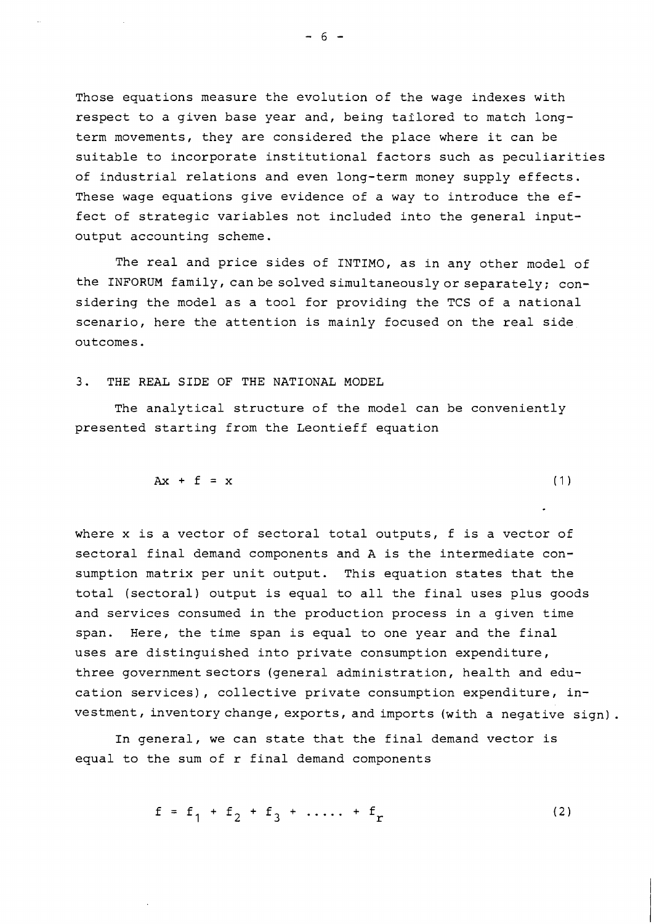Those equations measure the evolution of the wage indexes with respect to a given base year and, being tailored to match longterm movements, they are considered the place where it can be suitable to incorporate institutional factors such as peculiarities of industrial relations and even long-term money supply effects. These wage equations give evidence of a way to introduce the effect of strategic variables not included into the general inputoutput accounting scheme.

The real and price sides of INTIMO, as in any other model of the INFORUM family, can be solved simultaneously or separately; considering the model as a tool for providing the TCS of a national scenario, here the attention is mainly focused on the real side outcomes.

3. THE REAL SIDE OF THE NATIONAL MODEL

The analytical structure of the model can be conveniently presented starting from the Leontieff equation

$$
Ax + f = x \tag{1}
$$

where x is a vector of sectoral total outputs, f is a vector of sectoral final demand components and A is the intermediate consumption matrix per unit output. This equation states that the total (sectoral) output is equal to all the final uses plus goods and services consumed in the production process in a given time span. Here, the time span is equal to one year and the final uses are distinguished into private consumption expenditure, three government sectors (general administration, health and education services), collective private consumption expenditure, investment, inventory change, exports, and imports (with a negative sign).

In general, we can state that the final demand vector is equal to the sum of r final demand components

$$
f = f_1 + f_2 + f_3 + \dots + f_r \tag{2}
$$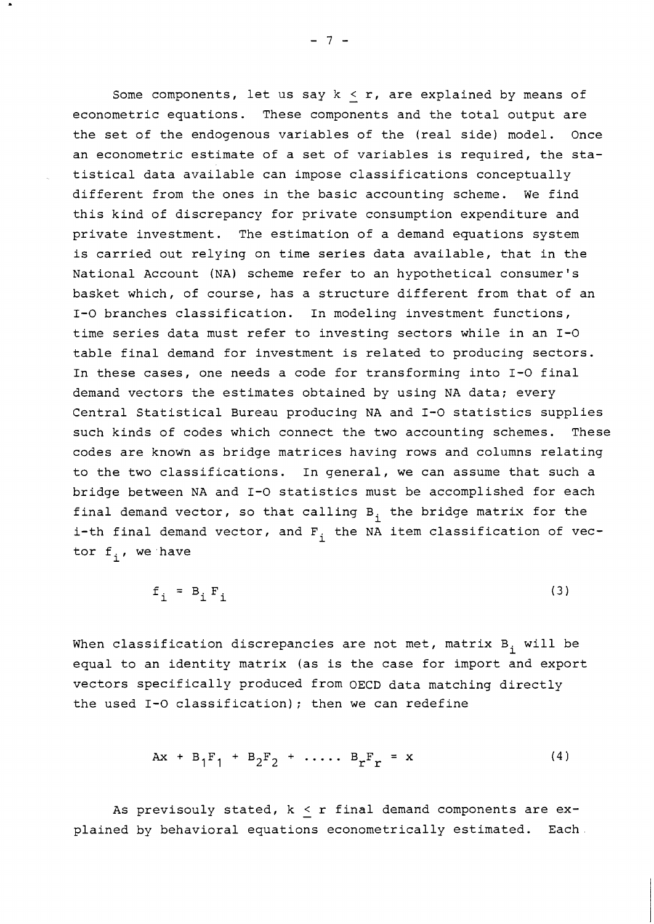Some components, let us say  $k \le r$ , are explained by means of econometric equations. These components and the total output are the set of the endogenous variables of the (real side) model. Once an econometric estimate of a set of variables is required, the statistical data available can impose classifications conceptually different from the ones in the basic accounting scheme. We find this kind of discrepancy for private consumption expenditure and private investment. The estimation of a demand equations system is carried out relying on time series data available, that in the National Account (NA) scheme refer to an hypothetical consumer's basket which, of course, has a structure different from that of an 1-0 branches classification. In modeling investment functions, time series data must refer to investing sectors while in an 1-0 table final demand for investment is related to producing sectors. In these cases, one needs a code for transforming into 1-0 final demand vectors the estimates obtained by using NA data; every Central Statistical Bureau producing NA and 1-0 statistics supplies such kinds of codes which connect the two accounting schemes. These codes are known as bridge matrices having rows and columns relating to the two classifications. In general, we can assume that such a bridge between NA and 1-0 statistics must be accomplished for each final demand vector, so that calling  $B_i$  the bridge matrix for the i-th final demand vector, and  $F_i$  the NA item classification of vector  $f_i$ , we have

$$
f_i = B_i F_i \tag{3}
$$

When classification discrepancies are not met, matrix  $B_i$  will be equal to an identity matrix (as is the case for import and export vectors specifically produced from OECD data matching directly the used 1-0 classification); then we can redefine

$$
Ax + B_1F_1 + B_2F_2 + \cdots + B_rF_r = x \qquad (4)
$$

As previsouly stated,  $k \le r$  final demand components are explained by behavioral equations econometrically estimated. Each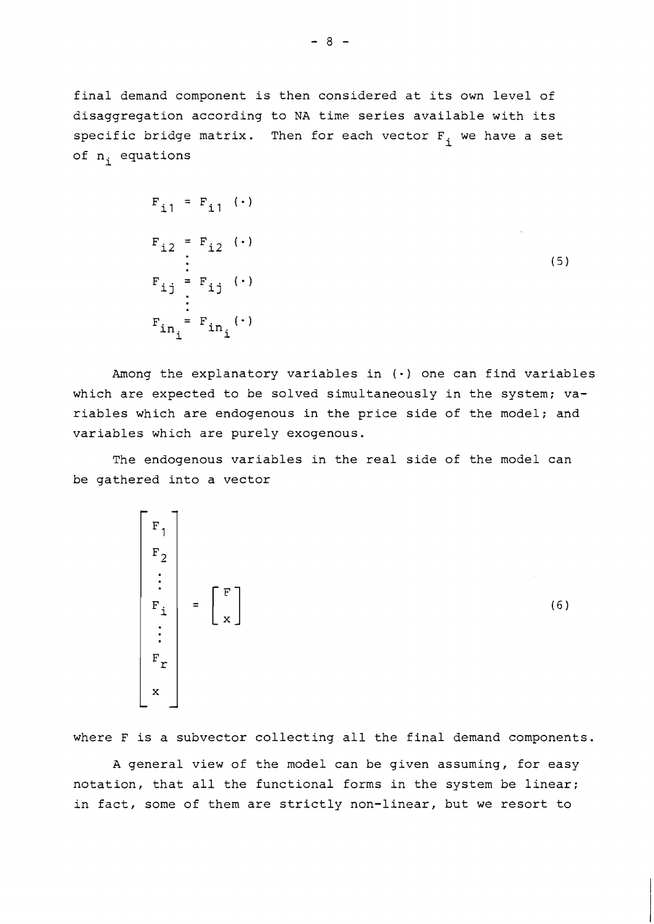final demand component is then considered at its own level of disaggregation according to NA time series available with its specific bridge matrix. Then for each vector  $F_i$  we have a set of n<sub>i</sub> equations

$$
F_{i1} = F_{i1} \cdot \cdot
$$
\n
$$
F_{i2} = F_{i2} \cdot \cdot
$$
\n
$$
\vdots
$$
\n
$$
F_{i1} = F_{i1} \cdot \cdot
$$
\n
$$
\vdots
$$
\n
$$
F_{in} = F_{in} \cdot \cdot
$$
\n
$$
F_{in} = F_{in} \cdot
$$
\n(5)

Among the explanatory variables in (.) one can find variables which are expected to be solved simultaneously in the system; variables which are endogenous in the price side of the model; and variables which are purely exogenous.

The endogenous variables in the real side of the model can be gathered into a vector

$$
\begin{bmatrix}\nF_1 \\
F_2 \\
\vdots \\
F_i \\
\vdots \\
F_r \\
\vdots \\
x\n\end{bmatrix} = \begin{bmatrix}\nF \\
x\n\end{bmatrix}
$$
\n(6)

where F is a subvector collecting all the final demand components.

A general view of the model can be given assuming, for easy notation, that all the functional forms in the system be linear; in fact, some of them are strictly non-linear, but we resort to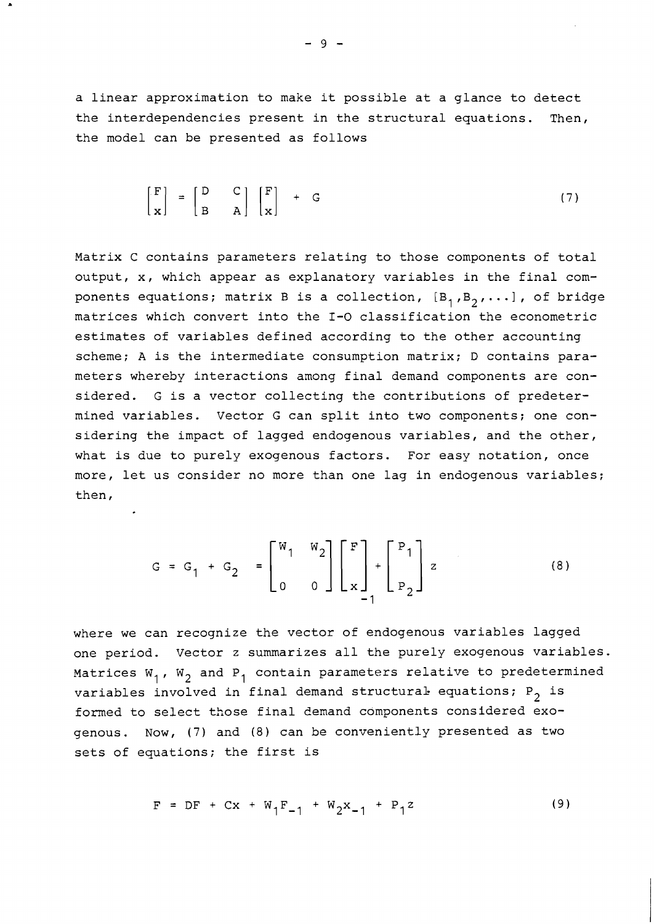a linear approximation to make it possible at a glance to detect the interdependencies present in the structural equations. Then, the model can be presented as follows

$$
\begin{bmatrix} F \\ x \end{bmatrix} = \begin{bmatrix} D & C \\ B & A \end{bmatrix} \begin{bmatrix} F \\ x \end{bmatrix} + G \tag{7}
$$

Matrix C contains parameters relating to those components of total output, x, which appear as explanatory variables in the final components equations; matrix B is a collection,  $[B_1, B_2, \ldots]$ , of bridge matrices which convert into the **1-0** classification the econometric estimates of variables defined according to the other accounting scheme; A is the intermediate consumption matrix; D contains parameters whereby interactions among final demand components are considered. G is a vector collecting the contributions of predetermined variables. Vector G can split into two components; one considering the impact of lagged endogenous variables, and the other, what is due to purely exogenous factors. For easy notation, once more, let us consider no more than one lag in endogenous variables; then,

$$
G = G_1 + G_2 = \begin{bmatrix} W_1 & W_2 \\ 0 & 0 \end{bmatrix} \begin{bmatrix} F \\ x \end{bmatrix} + \begin{bmatrix} P_1 \\ P_2 \end{bmatrix} z \qquad (8)
$$

where we can recognize the vector of endogenous variables lagged one period. Vector z summarizes all the purely exogenous variables. Matrices  $W_1$ ,  $W_2$  and  $P_1$  contain parameters relative to predetermined variables involved in final demand structural- equations;  $P_2$  is formed to select those final demand components considered exogenous. Now, (7) and (8) can be conveniently presented as two sets of equations; the first is

$$
F = DF + Cx + W_1F_{-1} + W_2x_{-1} + P_1z
$$
 (9)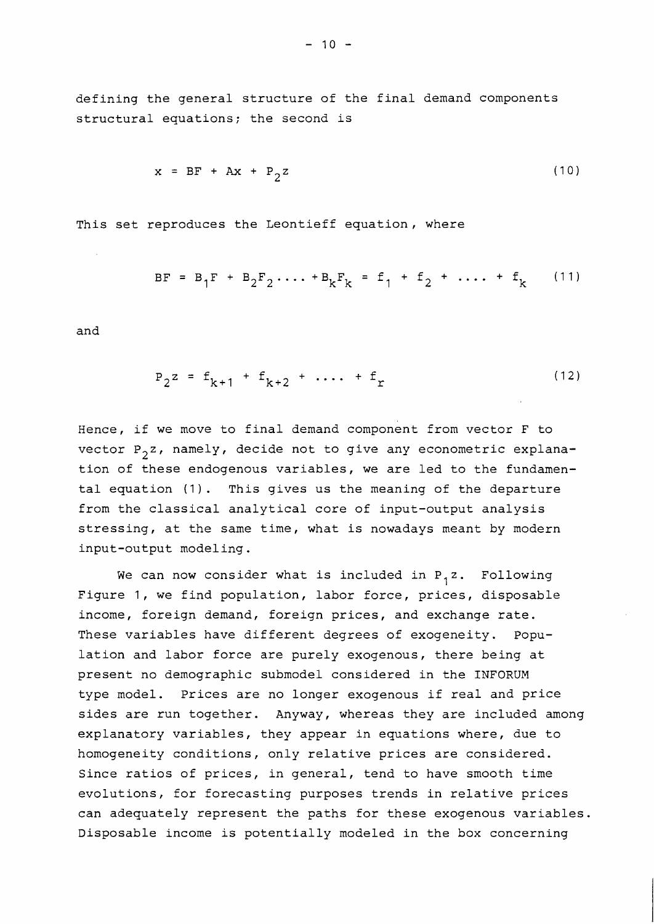defining the general structure of the final demand components structural equations; the second is

$$
x = BF + Ax + P_2 z \tag{10}
$$

This set reproduces the Leontieff equation, where

$$
BF = B_1F + B_2F_2 \cdots + B_kF_k = f_1 + f_2 + \cdots + f_k \qquad (11)
$$

and

$$
P_2 z = f_{k+1} + f_{k+2} + \dots + f_r
$$
 (12)

Hence, if we move to final demand component from vector F to vector  $P_2z$ , namely, decide not to give any econometric explanation of these endogenous variables, we are led to the fundamental equation (1). This gives us the meaning of the departure from the classical analytical core of input-output analysis stressing, at the same time, what is nowadays meant by modern input-output modeling.

We can now consider what is included in  $P_1 z$ . Following Figure 1, we find population, labor force, prices, disposable income, foreign demand, foreign prices, and exchange rate. These variables have different degrees of exogeneity. Population and labor force are purely exogenous, there being at present no demographic submodel considered in the INFORUM type model. Prices are no longer exogenous if real and price sides are run together. Anyway, whereas they are included among explanatory variables, they appear in equations where, due to homogeneity conditions, only relative prices are considered. Since ratios of prices, in general, tend to have smooth time evolutions, for forecasting purposes trends in relative prices can adequately represent the paths for these exogenous variables. Disposable income is potentially modeled in the box concerning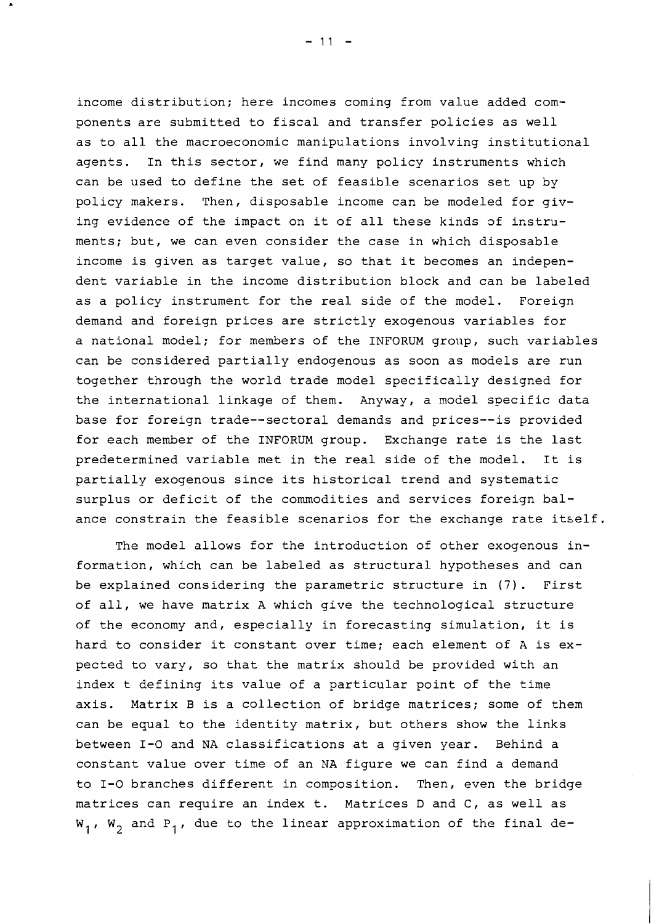income distribution; here incomes coming from value added components are submitted to fiscal and transfer policies as well as to all the macroeconomic manipulations involving institutional agents. In this sector, we find many policy instruments which can be used to define the set of feasible scenarios set up by policy makers. Then, disposable income can be modeled for giving evidence of the impact on it of all these kinds of instruments; but, we can even consider the case in which disposable income is given as target value, so that it becomes an independent variable in the income distribution block and can be labeled as a policy instrument for the real side of the model. Foreign demand and foreign prices are strictly exogenous variables for a national model; for members of the INFORUM group, such variables can be considered partially endogenous as soon as models are run together through the world trade model specifically designed for the international linkage of them. Anyway, a model specific data base for foreign trade--sectoral demands and prices--is provided for each member of the INFORUM group. Exchange rate is the last predetermined variable met in the real side of the model. It is partially exogenous since its historical trend and systematic surplus or deficit of the commodities and services foreign balance constrain the feasible scenarios for the exchange rate itself.

The model allows for the introduction of other exogenous information, which can be labeled as structural hypotheses and can be explained considering the parametric structure in (7). First of all, we have matrix A which give the technological structure of the economy and, especially in forecasting simulation, it is hard to consider it constant over time; each element of A is expected to vary, so that the matrix should be provided with an index t defining its value of a particular point of the time axis. Matrix B is a collection of bridge matrices; some of them can be equal to the identity matrix, but others show the links between 1-0 and NA classifications at a given year. Behind a constant value over time of an NA figure we can find a demand to 1-0 branches different in composition. Then, even the bridge matrices can require an index t. Matrices D and C, as well as  $W_1$ ,  $W_2$  and P<sub>1</sub>, due to the linear approximation of the final de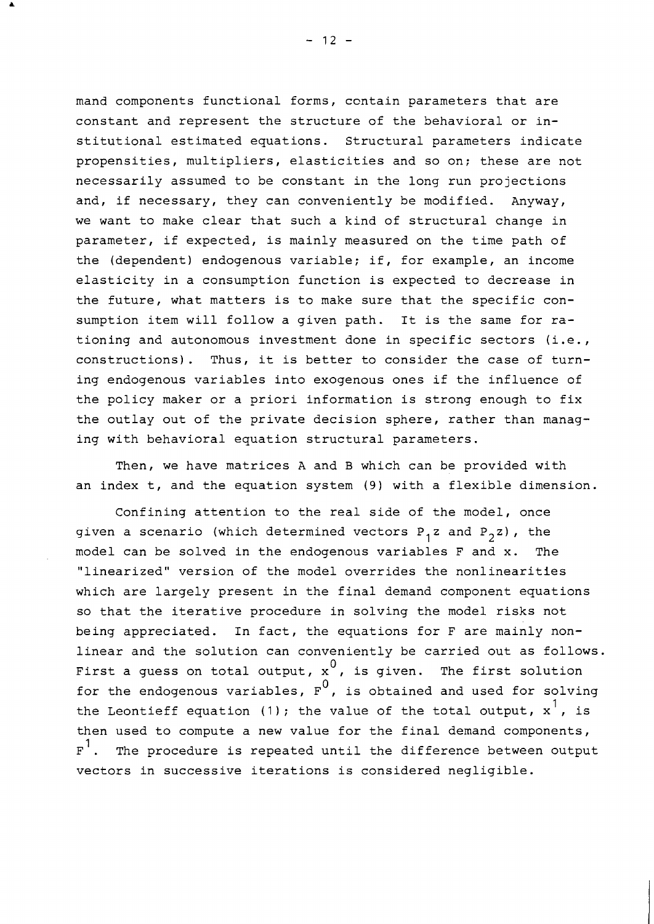mand components functional forms, ccntain parameters that are constant and represent the structure of the behavioral or institutional estimated equations. Structural parameters indicate propensities, multipliers, elasticities and so on; these are not necessarily assumed to be constant in the long run projections and, if necessary, they can conveniently be modified. Anyway, we want to make clear that such a kind of structural change in parameter, if expected, is mainly measured on the time path of the (dependent) endogenous variable; if, for example, an income elasticity in a consumption function is expected to decrease in the future, what matters is to make sure that the specific consumption item will follow a given path. It is the same for rationing and autonomous investment done in specific sectors (i.e., constructions). Thus, it is better to consider the case of turning endogenous variables into exogenous ones if the influence of the policy maker or a priori information is strong enough to fix the outlay out of the private decision sphere, rather than managing with behavioral equation structural parameters.

Then, we have matrices A and B which can be provided with an index t, and the equation system (9) with a flexible dimension.

Confining attention to the real side of the model, once given a scenario (which determined vectors  $P_1z$  and  $P_2z$ ), the model can be solved in the endogenous variables F and x. The "linearized" version of the model overrides the nonlinearities which are largely present in the final demand component equations so that the iterative procedure in solving the model risks not being appreciated. In fact, the equations for F are mainly nonlinear and the solution can conveniently be carried out as follows. First a guess on total output,  $x^0$ , is given. The first solution for the endogenous variables,  $F^0$ , is obtained and used for solving the Leontieff equation (1); the value of the total output,  $x^{\dagger}$ , is then used to compute a new value for the final demand components,  $F^1$ . The procedure is repeated until the difference between output vectors in successive iterations is considered negligible.

 $-12 -$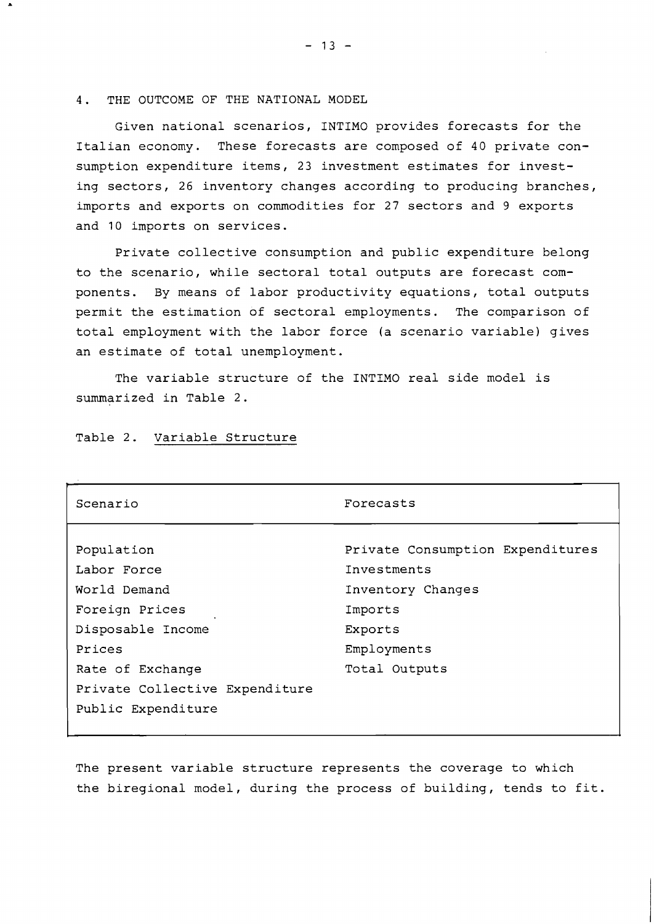4. THE OUTCOME OF THE NATIONAL MODEL

Given national scenarios, INTIMO provides forecasts for the Italian economy. These forecasts are composed of 40 private consumption expenditure items, 23 investment estimates for investing sectors, 26 inventory changes according to producing branches, imports and exports on commodities for 27 sectors and 9 exports and 10 imports on services.

Private collective consumption and public expenditure belong to the scenario, while sectoral total outputs are forecast components. By means of labor productivity equations, total outputs permit the estimation of sectoral employments. The comparison of total employment with the labor force (a scenario variable) gives an estimate of total unemployment.

The variable structure of the INTIMO real side model is summarized in Table 2.

| Scenario                       | Forecasts                        |  |
|--------------------------------|----------------------------------|--|
|                                |                                  |  |
| Population                     | Private Consumption Expenditures |  |
| Labor Force                    | Investments                      |  |
| World Demand                   | Inventory Changes                |  |
| Foreign Prices                 | Imports                          |  |
| Disposable Income              | Exports                          |  |
| Prices                         | Employments                      |  |
| Rate of Exchange               | Total Outputs                    |  |
| Private Collective Expenditure |                                  |  |
| Public Expenditure             |                                  |  |

Table 2. Variable Structure

The present variable structure represents the coverage to which the biregional model, during the process of building, tends to fit.